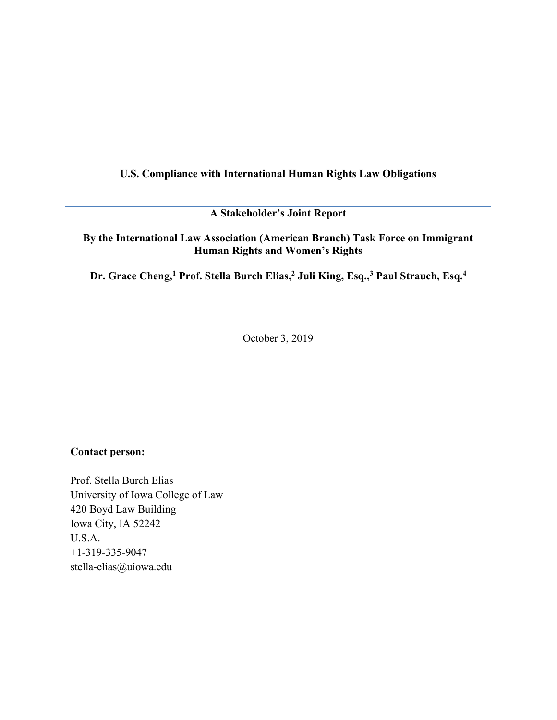# U.S. Compliance with International Human Rights Law Obligations

A Stakeholder's Joint Report

## By the International Law Association (American Branch) Task Force on Immigrant Human Rights and Women's Rights

Dr. Grace Cheng,<sup>1</sup> Prof. Stella Burch Elias,<sup>2</sup> Juli King, Esq.,<sup>3</sup> Paul Strauch, Esq.<sup>4</sup>

October 3, 2019

## Contact person:

Prof. Stella Burch Elias University of Iowa College of Law 420 Boyd Law Building Iowa City, IA 52242 U.S.A. +1-319-335-9047 stella-elias@uiowa.edu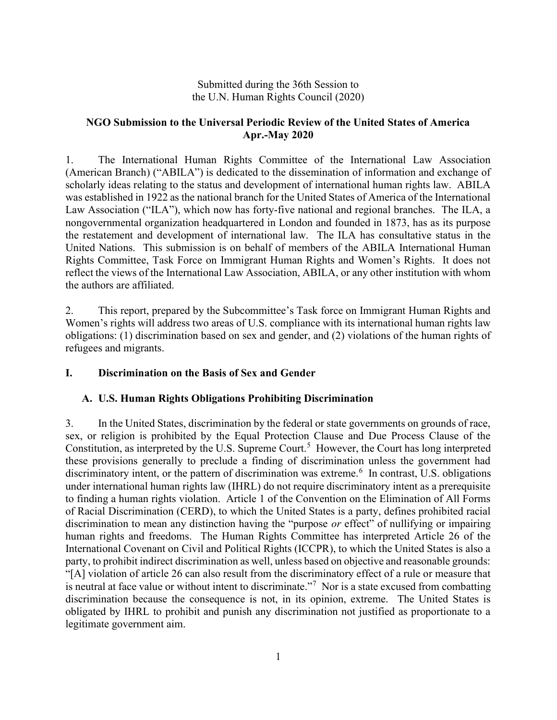## Submitted during the 36th Session to the U.N. Human Rights Council (2020)

# NGO Submission to the Universal Periodic Review of the United States of America Apr.-May 2020

1. The International Human Rights Committee of the International Law Association (American Branch) ("ABILA") is dedicated to the dissemination of information and exchange of scholarly ideas relating to the status and development of international human rights law. ABILA was established in 1922 as the national branch for the United States of America of the International Law Association ("ILA"), which now has forty-five national and regional branches. The ILA, a nongovernmental organization headquartered in London and founded in 1873, has as its purpose the restatement and development of international law. The ILA has consultative status in the United Nations. This submission is on behalf of members of the ABILA International Human Rights Committee, Task Force on Immigrant Human Rights and Women's Rights. It does not reflect the views of the International Law Association, ABILA, or any other institution with whom the authors are affiliated.

2. This report, prepared by the Subcommittee's Task force on Immigrant Human Rights and Women's rights will address two areas of U.S. compliance with its international human rights law obligations: (1) discrimination based on sex and gender, and (2) violations of the human rights of refugees and migrants.

# I. Discrimination on the Basis of Sex and Gender

# A. U.S. Human Rights Obligations Prohibiting Discrimination

3. In the United States, discrimination by the federal or state governments on grounds of race, sex, or religion is prohibited by the Equal Protection Clause and Due Process Clause of the Constitution, as interpreted by the U.S. Supreme Court.<sup>5</sup> However, the Court has long interpreted these provisions generally to preclude a finding of discrimination unless the government had discriminatory intent, or the pattern of discrimination was extreme.<sup>6</sup> In contrast, U.S. obligations under international human rights law (IHRL) do not require discriminatory intent as a prerequisite to finding a human rights violation. Article 1 of the Convention on the Elimination of All Forms of Racial Discrimination (CERD), to which the United States is a party, defines prohibited racial discrimination to mean any distinction having the "purpose or effect" of nullifying or impairing human rights and freedoms. The Human Rights Committee has interpreted Article 26 of the International Covenant on Civil and Political Rights (ICCPR), to which the United States is also a party, to prohibit indirect discrimination as well, unless based on objective and reasonable grounds: "[A] violation of article 26 can also result from the discriminatory effect of a rule or measure that is neutral at face value or without intent to discriminate."<sup>7</sup> Nor is a state excused from combatting discrimination because the consequence is not, in its opinion, extreme. The United States is obligated by IHRL to prohibit and punish any discrimination not justified as proportionate to a legitimate government aim.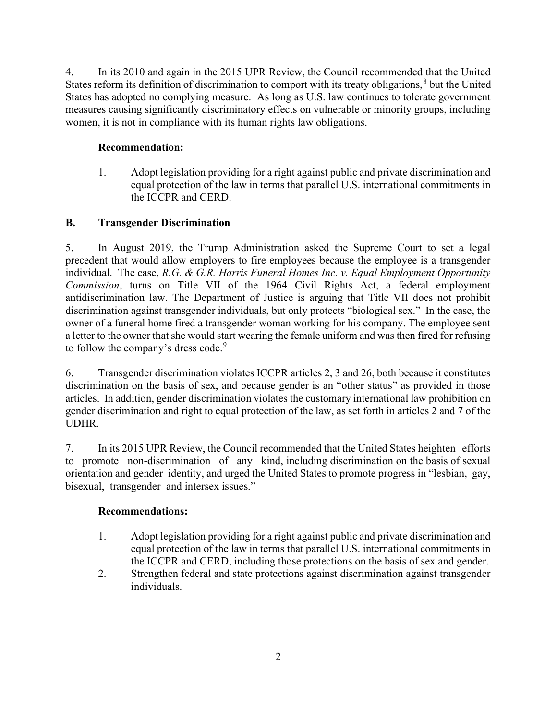4. In its 2010 and again in the 2015 UPR Review, the Council recommended that the United States reform its definition of discrimination to comport with its treaty obligations, $^8$  but the United States has adopted no complying measure. As long as U.S. law continues to tolerate government measures causing significantly discriminatory effects on vulnerable or minority groups, including women, it is not in compliance with its human rights law obligations.

# Recommendation:

1. Adopt legislation providing for a right against public and private discrimination and equal protection of the law in terms that parallel U.S. international commitments in the ICCPR and CERD.

# B. Transgender Discrimination

5. In August 2019, the Trump Administration asked the Supreme Court to set a legal precedent that would allow employers to fire employees because the employee is a transgender individual. The case, R.G. & G.R. Harris Funeral Homes Inc. v. Equal Employment Opportunity Commission, turns on Title VII of the 1964 Civil Rights Act, a federal employment antidiscrimination law. The Department of Justice is arguing that Title VII does not prohibit discrimination against transgender individuals, but only protects "biological sex." In the case, the owner of a funeral home fired a transgender woman working for his company. The employee sent a letter to the owner that she would start wearing the female uniform and was then fired for refusing to follow the company's dress code.<sup>9</sup>

6. Transgender discrimination violates ICCPR articles 2, 3 and 26, both because it constitutes discrimination on the basis of sex, and because gender is an "other status" as provided in those articles. In addition, gender discrimination violates the customary international law prohibition on gender discrimination and right to equal protection of the law, as set forth in articles 2 and 7 of the UDHR.

7. In its 2015 UPR Review, the Council recommended that the United States heighten efforts to promote non-discrimination of any kind, including discrimination on the basis of sexual orientation and gender identity, and urged the United States to promote progress in "lesbian, gay, bisexual, transgender and intersex issues."

# Recommendations:

- 1. Adopt legislation providing for a right against public and private discrimination and equal protection of the law in terms that parallel U.S. international commitments in the ICCPR and CERD, including those protections on the basis of sex and gender.
- 2. Strengthen federal and state protections against discrimination against transgender individuals.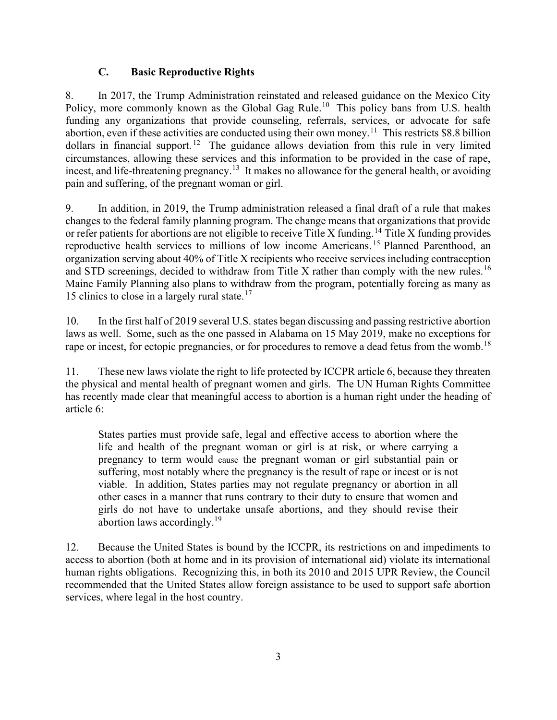# C. Basic Reproductive Rights

8. In 2017, the Trump Administration reinstated and released guidance on the Mexico City Policy, more commonly known as the Global Gag Rule.<sup>10</sup> This policy bans from U.S. health funding any organizations that provide counseling, referrals, services, or advocate for safe abortion, even if these activities are conducted using their own money.<sup>11</sup> This restricts \$8.8 billion dollars in financial support.<sup>12</sup> The guidance allows deviation from this rule in very limited circumstances, allowing these services and this information to be provided in the case of rape, incest, and life-threatening pregnancy.<sup>13</sup> It makes no allowance for the general health, or avoiding pain and suffering, of the pregnant woman or girl.

9. In addition, in 2019, the Trump administration released a final draft of a rule that makes changes to the federal family planning program. The change means that organizations that provide or refer patients for abortions are not eligible to receive Title X funding.<sup>14</sup> Title X funding provides reproductive health services to millions of low income Americans. <sup>15</sup> Planned Parenthood, an organization serving about 40% of Title X recipients who receive services including contraception and STD screenings, decided to withdraw from Title X rather than comply with the new rules.<sup>16</sup> Maine Family Planning also plans to withdraw from the program, potentially forcing as many as 15 clinics to close in a largely rural state.<sup>17</sup>

10. In the first half of 2019 several U.S. states began discussing and passing restrictive abortion laws as well. Some, such as the one passed in Alabama on 15 May 2019, make no exceptions for rape or incest, for ectopic pregnancies, or for procedures to remove a dead fetus from the womb.<sup>18</sup>

11. These new laws violate the right to life protected by ICCPR article 6, because they threaten the physical and mental health of pregnant women and girls. The UN Human Rights Committee has recently made clear that meaningful access to abortion is a human right under the heading of article 6:

States parties must provide safe, legal and effective access to abortion where the life and health of the pregnant woman or girl is at risk, or where carrying a pregnancy to term would cause the pregnant woman or girl substantial pain or suffering, most notably where the pregnancy is the result of rape or incest or is not viable. In addition, States parties may not regulate pregnancy or abortion in all other cases in a manner that runs contrary to their duty to ensure that women and girls do not have to undertake unsafe abortions, and they should revise their abortion laws accordingly.<sup>19</sup>

12. Because the United States is bound by the ICCPR, its restrictions on and impediments to access to abortion (both at home and in its provision of international aid) violate its international human rights obligations. Recognizing this, in both its 2010 and 2015 UPR Review, the Council recommended that the United States allow foreign assistance to be used to support safe abortion services, where legal in the host country.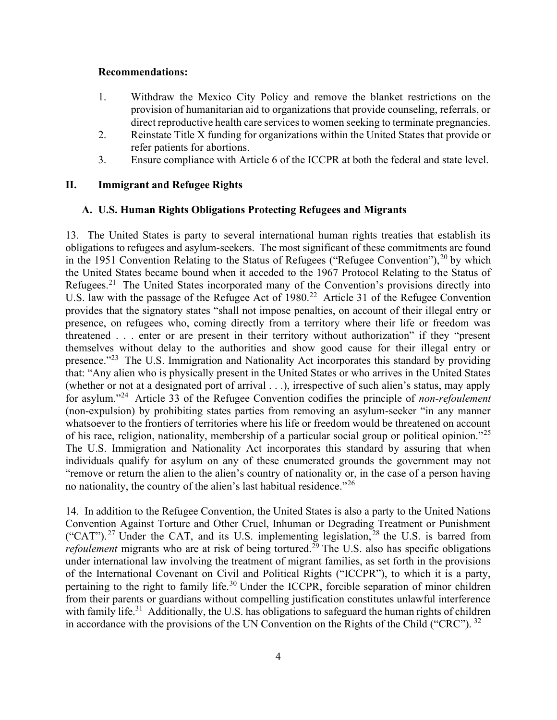#### Recommendations:

- 1. Withdraw the Mexico City Policy and remove the blanket restrictions on the provision of humanitarian aid to organizations that provide counseling, referrals, or direct reproductive health care services to women seeking to terminate pregnancies.
- 2. Reinstate Title X funding for organizations within the United States that provide or refer patients for abortions.
- 3. Ensure compliance with Article 6 of the ICCPR at both the federal and state level.

### II. Immigrant and Refugee Rights

### A. U.S. Human Rights Obligations Protecting Refugees and Migrants

13. The United States is party to several international human rights treaties that establish its obligations to refugees and asylum-seekers. The most significant of these commitments are found in the 1951 Convention Relating to the Status of Refugees ("Refugee Convention"),  $20$  by which the United States became bound when it acceded to the 1967 Protocol Relating to the Status of Refugees.<sup>21</sup> The United States incorporated many of the Convention's provisions directly into U.S. law with the passage of the Refugee Act of 1980.<sup>22</sup> Article 31 of the Refugee Convention provides that the signatory states "shall not impose penalties, on account of their illegal entry or presence, on refugees who, coming directly from a territory where their life or freedom was threatened . . . enter or are present in their territory without authorization" if they "present themselves without delay to the authorities and show good cause for their illegal entry or presence."<sup>23</sup> The U.S. Immigration and Nationality Act incorporates this standard by providing that: "Any alien who is physically present in the United States or who arrives in the United States (whether or not at a designated port of arrival . . .), irrespective of such alien's status, may apply for asylum."<sup>24</sup> Article 33 of the Refugee Convention codifies the principle of *non-refoulement* (non-expulsion) by prohibiting states parties from removing an asylum-seeker "in any manner whatsoever to the frontiers of territories where his life or freedom would be threatened on account of his race, religion, nationality, membership of a particular social group or political opinion."<sup>25</sup> The U.S. Immigration and Nationality Act incorporates this standard by assuring that when individuals qualify for asylum on any of these enumerated grounds the government may not "remove or return the alien to the alien's country of nationality or, in the case of a person having no nationality, the country of the alien's last habitual residence."<sup>26</sup>

14. In addition to the Refugee Convention, the United States is also a party to the United Nations Convention Against Torture and Other Cruel, Inhuman or Degrading Treatment or Punishment ("CAT").<sup>27</sup> Under the CAT, and its U.S. implementing legislation,  $^{28}$  the U.S. is barred from *refoulement* migrants who are at risk of being tortured.<sup>29</sup> The U.S. also has specific obligations under international law involving the treatment of migrant families, as set forth in the provisions of the International Covenant on Civil and Political Rights ("ICCPR"), to which it is a party, pertaining to the right to family life.<sup>30</sup> Under the ICCPR, forcible separation of minor children from their parents or guardians without compelling justification constitutes unlawful interference with family life.<sup>31</sup> Additionally, the U.S. has obligations to safeguard the human rights of children in accordance with the provisions of the UN Convention on the Rights of the Child ("CRC").<sup>32</sup>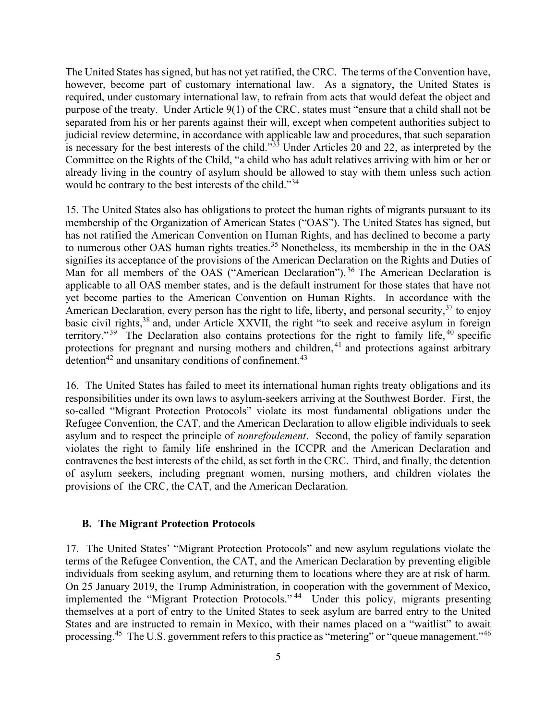The United States has signed, but has not yet ratified, the CRC. The terms of the Convention have, however, become part of customary international law. As a signatory, the United States is required, under customary international law, to refrain from acts that would defeat the object and purpose of the treaty. Under Article 9(1) of the CRC, states must "ensure that a child shall not be separated from his or her parents against their will, except when competent authorities subject to judicial review determine, in accordance with applicable law and procedures, that such separation is necessary for the best interests of the child." $33\overline{3}$  Under Articles 20 and 22, as interpreted by the Committee on the Rights of the Child, "a child who has adult relatives arriving with him or her or already living in the country of asylum should be allowed to stay with them unless such action would be contrary to the best interests of the child."<sup>34</sup>

15. The United States also has obligations to protect the human rights of migrants pursuant to its membership of the Organization of American States ("OAS"). The United States has signed, but has not ratified the American Convention on Human Rights, and has declined to become a party to numerous other OAS human rights treaties.<sup>35</sup> Nonetheless, its membership in the in the OAS signifies its acceptance of the provisions of the American Declaration on the Rights and Duties of Man for all members of the OAS ("American Declaration").<sup>36</sup> The American Declaration is applicable to all OAS member states, and is the default instrument for those states that have not yet become parties to the American Convention on Human Rights. In accordance with the American Declaration, every person has the right to life, liberty, and personal security,  $37$  to enjoy basic civil rights,<sup>38</sup> and, under Article XXVII, the right "to seek and receive asylum in foreign territory."<sup>39</sup> The Declaration also contains protections for the right to family life,  $40$  specific protections for pregnant and nursing mothers and children,  $41$  and protections against arbitrary detention<sup>42</sup> and unsanitary conditions of confinement.<sup>43</sup>

16. The United States has failed to meet its international human rights treaty obligations and its responsibilities under its own laws to asylum-seekers arriving at the Southwest Border. First, the so-called "Migrant Protection Protocols" violate its most fundamental obligations under the Refugee Convention, the CAT, and the American Declaration to allow eligible individuals to seek asylum and to respect the principle of nonrefoulement. Second, the policy of family separation violates the right to family life enshrined in the ICCPR and the American Declaration and contravenes the best interests of the child, as set forth in the CRC. Third, and finally, the detention of asylum seekers, including pregnant women, nursing mothers, and children violates the provisions of the CRC, the CAT, and the American Declaration.

#### B. The Migrant Protection Protocols

17. The United States' "Migrant Protection Protocols" and new asylum regulations violate the terms of the Refugee Convention, the CAT, and the American Declaration by preventing eligible individuals from seeking asylum, and returning them to locations where they are at risk of harm. On 25 January 2019, the Trump Administration, in cooperation with the government of Mexico, implemented the "Migrant Protection Protocols."<sup>44</sup> Under this policy, migrants presenting themselves at a port of entry to the United States to seek asylum are barred entry to the United States and are instructed to remain in Mexico, with their names placed on a "waitlist" to await processing.<sup>45</sup> The U.S. government refers to this practice as "metering" or "queue management."<sup>46</sup>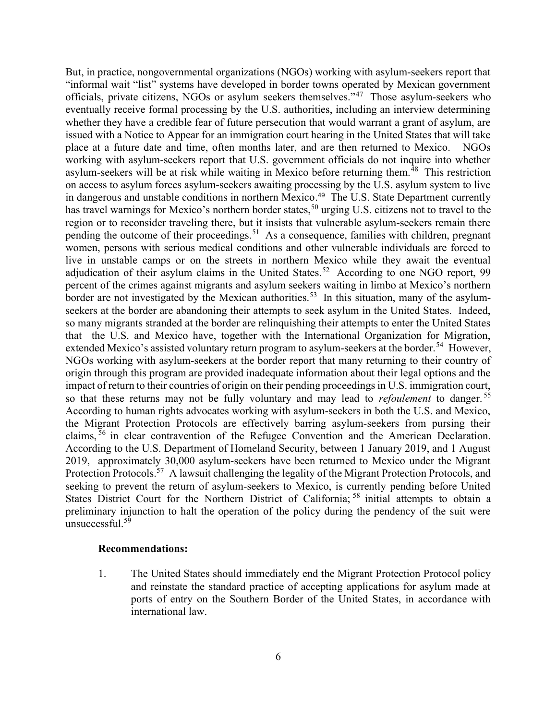But, in practice, nongovernmental organizations (NGOs) working with asylum-seekers report that "informal wait "list" systems have developed in border towns operated by Mexican government officials, private citizens, NGOs or asylum seekers themselves."<sup>47</sup> Those asylum-seekers who eventually receive formal processing by the U.S. authorities, including an interview determining whether they have a credible fear of future persecution that would warrant a grant of asylum, are issued with a Notice to Appear for an immigration court hearing in the United States that will take place at a future date and time, often months later, and are then returned to Mexico. NGOs working with asylum-seekers report that U.S. government officials do not inquire into whether asylum-seekers will be at risk while waiting in Mexico before returning them.<sup>48</sup> This restriction on access to asylum forces asylum-seekers awaiting processing by the U.S. asylum system to live in dangerous and unstable conditions in northern Mexico. 49 The U.S. State Department currently has travel warnings for Mexico's northern border states,<sup>50</sup> urging U.S. citizens not to travel to the region or to reconsider traveling there, but it insists that vulnerable asylum-seekers remain there pending the outcome of their proceedings.<sup>51</sup> As a consequence, families with children, pregnant women, persons with serious medical conditions and other vulnerable individuals are forced to live in unstable camps or on the streets in northern Mexico while they await the eventual adjudication of their asylum claims in the United States.<sup>52</sup> According to one NGO report, 99 percent of the crimes against migrants and asylum seekers waiting in limbo at Mexico's northern border are not investigated by the Mexican authorities.<sup>53</sup> In this situation, many of the asylumseekers at the border are abandoning their attempts to seek asylum in the United States. Indeed, so many migrants stranded at the border are relinquishing their attempts to enter the United States that the U.S. and Mexico have, together with the International Organization for Migration, extended Mexico's assisted voluntary return program to asylum-seekers at the border.<sup>54</sup> However, NGOs working with asylum-seekers at the border report that many returning to their country of origin through this program are provided inadequate information about their legal options and the impact of return to their countries of origin on their pending proceedings in U.S. immigration court, so that these returns may not be fully voluntary and may lead to *refoulement* to danger.<sup>55</sup> According to human rights advocates working with asylum-seekers in both the U.S. and Mexico, the Migrant Protection Protocols are effectively barring asylum-seekers from pursing their claims, <sup>56</sup> in clear contravention of the Refugee Convention and the American Declaration. According to the U.S. Department of Homeland Security, between 1 January 2019, and 1 August 2019, approximately 30,000 asylum-seekers have been returned to Mexico under the Migrant Protection Protocols.<sup>57</sup> A lawsuit challenging the legality of the Migrant Protection Protocols, and seeking to prevent the return of asylum-seekers to Mexico, is currently pending before United States District Court for the Northern District of California; <sup>58</sup> initial attempts to obtain a preliminary injunction to halt the operation of the policy during the pendency of the suit were unsuccessful. $59$ 

#### Recommendations:

1. The United States should immediately end the Migrant Protection Protocol policy and reinstate the standard practice of accepting applications for asylum made at ports of entry on the Southern Border of the United States, in accordance with international law.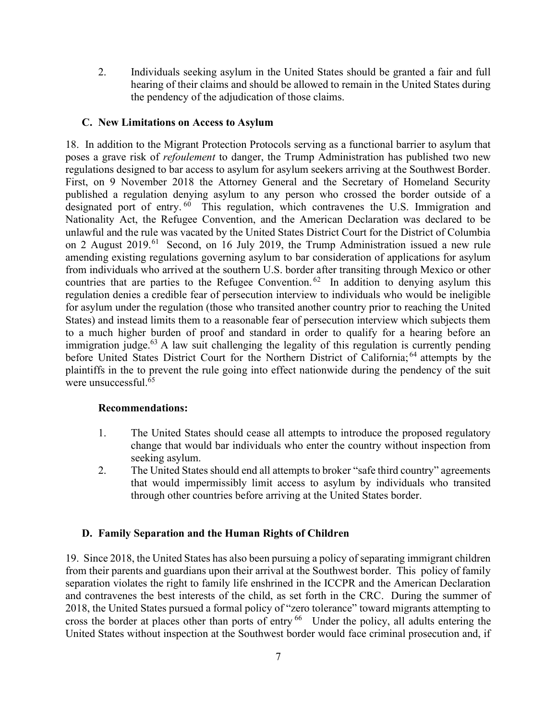2. Individuals seeking asylum in the United States should be granted a fair and full hearing of their claims and should be allowed to remain in the United States during the pendency of the adjudication of those claims.

### C. New Limitations on Access to Asylum

18. In addition to the Migrant Protection Protocols serving as a functional barrier to asylum that poses a grave risk of refoulement to danger, the Trump Administration has published two new regulations designed to bar access to asylum for asylum seekers arriving at the Southwest Border. First, on 9 November 2018 the Attorney General and the Secretary of Homeland Security published a regulation denying asylum to any person who crossed the border outside of a designated port of entry.  $60$  This regulation, which contravenes the U.S. Immigration and Nationality Act, the Refugee Convention, and the American Declaration was declared to be unlawful and the rule was vacated by the United States District Court for the District of Columbia on 2 August 2019.<sup>61</sup> Second, on 16 July 2019, the Trump Administration issued a new rule amending existing regulations governing asylum to bar consideration of applications for asylum from individuals who arrived at the southern U.S. border after transiting through Mexico or other countries that are parties to the Refugee Convention.<sup>62</sup> In addition to denying asylum this regulation denies a credible fear of persecution interview to individuals who would be ineligible for asylum under the regulation (those who transited another country prior to reaching the United States) and instead limits them to a reasonable fear of persecution interview which subjects them to a much higher burden of proof and standard in order to qualify for a hearing before an immigration judge. $63$  A law suit challenging the legality of this regulation is currently pending before United States District Court for the Northern District of California;<sup>64</sup> attempts by the plaintiffs in the to prevent the rule going into effect nationwide during the pendency of the suit were unsuccessful.<sup>65</sup>

### Recommendations:

- 1. The United States should cease all attempts to introduce the proposed regulatory change that would bar individuals who enter the country without inspection from seeking asylum.
- 2. The United States should end all attempts to broker "safe third country" agreements that would impermissibly limit access to asylum by individuals who transited through other countries before arriving at the United States border.

## D. Family Separation and the Human Rights of Children

19. Since 2018, the United States has also been pursuing a policy of separating immigrant children from their parents and guardians upon their arrival at the Southwest border. This policy of family separation violates the right to family life enshrined in the ICCPR and the American Declaration and contravenes the best interests of the child, as set forth in the CRC. During the summer of 2018, the United States pursued a formal policy of "zero tolerance" toward migrants attempting to cross the border at places other than ports of entry<sup>66</sup> Under the policy, all adults entering the United States without inspection at the Southwest border would face criminal prosecution and, if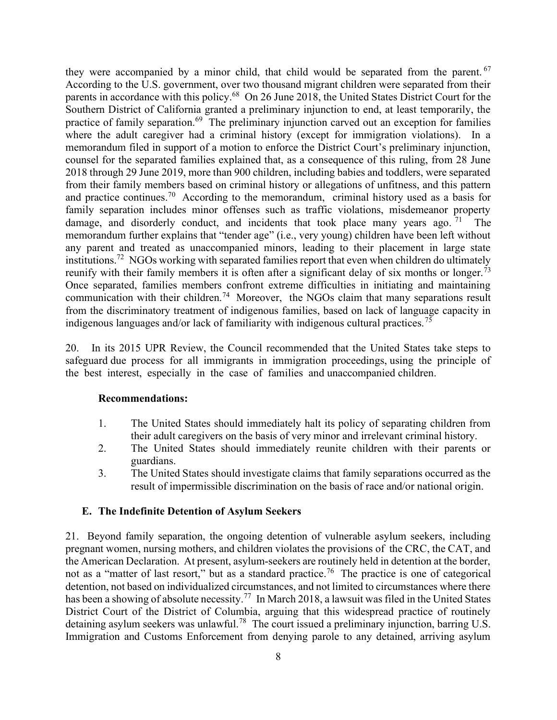they were accompanied by a minor child, that child would be separated from the parent. <sup>67</sup> According to the U.S. government, over two thousand migrant children were separated from their parents in accordance with this policy.<sup>68</sup> On 26 June 2018, the United States District Court for the Southern District of California granted a preliminary injunction to end, at least temporarily, the practice of family separation.<sup>69</sup> The preliminary injunction carved out an exception for families where the adult caregiver had a criminal history (except for immigration violations). In a memorandum filed in support of a motion to enforce the District Court's preliminary injunction, counsel for the separated families explained that, as a consequence of this ruling, from 28 June 2018 through 29 June 2019, more than 900 children, including babies and toddlers, were separated from their family members based on criminal history or allegations of unfitness, and this pattern and practice continues.<sup>70</sup> According to the memorandum, criminal history used as a basis for family separation includes minor offenses such as traffic violations, misdemeanor property damage, and disorderly conduct, and incidents that took place many years ago.  $71$  The memorandum further explains that "tender age" (i.e., very young) children have been left without any parent and treated as unaccompanied minors, leading to their placement in large state institutions.<sup>72</sup> NGOs working with separated families report that even when children do ultimately reunify with their family members it is often after a significant delay of six months or longer.<sup>73</sup> Once separated, families members confront extreme difficulties in initiating and maintaining communication with their children.<sup>74</sup> Moreover, the NGOs claim that many separations result from the discriminatory treatment of indigenous families, based on lack of language capacity in indigenous languages and/or lack of familiarity with indigenous cultural practices.<sup>75</sup>

20. In its 2015 UPR Review, the Council recommended that the United States take steps to safeguard due process for all immigrants in immigration proceedings, using the principle of the best interest, especially in the case of families and unaccompanied children.

### Recommendations:

- 1. The United States should immediately halt its policy of separating children from their adult caregivers on the basis of very minor and irrelevant criminal history.
- 2. The United States should immediately reunite children with their parents or guardians.
- 3. The United States should investigate claims that family separations occurred as the result of impermissible discrimination on the basis of race and/or national origin.

## E. The Indefinite Detention of Asylum Seekers

21. Beyond family separation, the ongoing detention of vulnerable asylum seekers, including pregnant women, nursing mothers, and children violates the provisions of the CRC, the CAT, and the American Declaration. At present, asylum-seekers are routinely held in detention at the border, not as a "matter of last resort," but as a standard practice.<sup>76</sup> The practice is one of categorical detention, not based on individualized circumstances, and not limited to circumstances where there has been a showing of absolute necessity.<sup>77</sup> In March 2018, a lawsuit was filed in the United States District Court of the District of Columbia, arguing that this widespread practice of routinely detaining asylum seekers was unlawful.<sup>78</sup> The court issued a preliminary injunction, barring U.S. Immigration and Customs Enforcement from denying parole to any detained, arriving asylum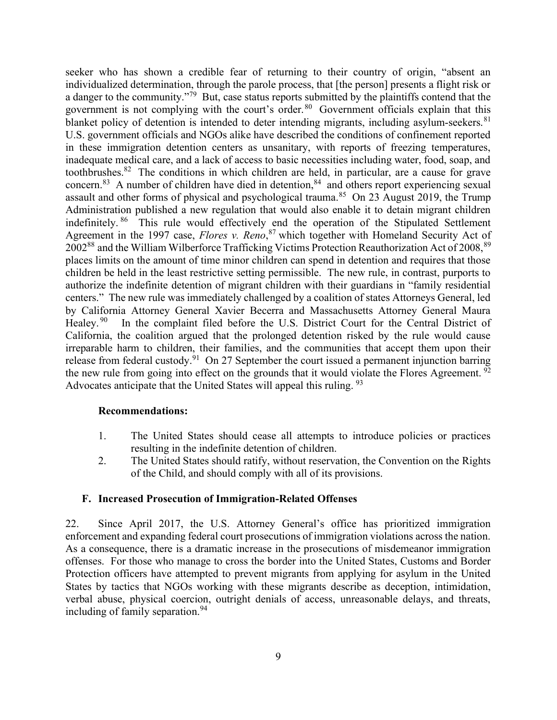seeker who has shown a credible fear of returning to their country of origin, "absent an individualized determination, through the parole process, that [the person] presents a flight risk or a danger to the community."<sup>79</sup> But, case status reports submitted by the plaintiffs contend that the government is not complying with the court's order.<sup>80</sup> Government officials explain that this blanket policy of detention is intended to deter intending migrants, including asylum-seekers. <sup>81</sup> U.S. government officials and NGOs alike have described the conditions of confinement reported in these immigration detention centers as unsanitary, with reports of freezing temperatures, inadequate medical care, and a lack of access to basic necessities including water, food, soap, and toothbrushes.<sup>82</sup> The conditions in which children are held, in particular, are a cause for grave concern.<sup>83</sup> A number of children have died in detention,  $84$  and others report experiencing sexual assault and other forms of physical and psychological trauma.<sup>85</sup> On 23 August 2019, the Trump Administration published a new regulation that would also enable it to detain migrant children indefinitely. <sup>86</sup> This rule would effectively end the operation of the Stipulated Settlement Agreement in the 1997 case, *Flores v. Reno*,<sup>87</sup> which together with Homeland Security Act of 2002<sup>88</sup> and the William Wilberforce Trafficking Victims Protection Reauthorization Act of 2008, <sup>89</sup> places limits on the amount of time minor children can spend in detention and requires that those children be held in the least restrictive setting permissible. The new rule, in contrast, purports to authorize the indefinite detention of migrant children with their guardians in "family residential centers." The new rule was immediately challenged by a coalition of states Attorneys General, led by California Attorney General Xavier Becerra and Massachusetts Attorney General Maura Healey.<sup>90</sup> In the complaint filed before the U.S. District Court for the Central District of California, the coalition argued that the prolonged detention risked by the rule would cause irreparable harm to children, their families, and the communities that accept them upon their release from federal custody.<sup>91</sup> On 27 September the court issued a permanent injunction barring the new rule from going into effect on the grounds that it would violate the Flores Agreement.<sup>92</sup> Advocates anticipate that the United States will appeal this ruling. 93

### Recommendations:

- 1. The United States should cease all attempts to introduce policies or practices resulting in the indefinite detention of children.
- 2. The United States should ratify, without reservation, the Convention on the Rights of the Child, and should comply with all of its provisions.

## F. Increased Prosecution of Immigration-Related Offenses

22. Since April 2017, the U.S. Attorney General's office has prioritized immigration enforcement and expanding federal court prosecutions of immigration violations across the nation. As a consequence, there is a dramatic increase in the prosecutions of misdemeanor immigration offenses. For those who manage to cross the border into the United States, Customs and Border Protection officers have attempted to prevent migrants from applying for asylum in the United States by tactics that NGOs working with these migrants describe as deception, intimidation, verbal abuse, physical coercion, outright denials of access, unreasonable delays, and threats, including of family separation.<sup>94</sup>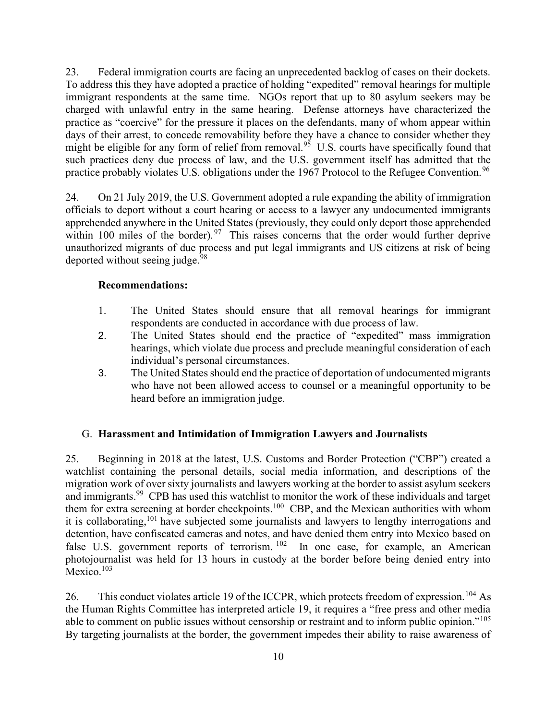23. Federal immigration courts are facing an unprecedented backlog of cases on their dockets. To address this they have adopted a practice of holding "expedited" removal hearings for multiple immigrant respondents at the same time. NGOs report that up to 80 asylum seekers may be charged with unlawful entry in the same hearing. Defense attorneys have characterized the practice as "coercive" for the pressure it places on the defendants, many of whom appear within days of their arrest, to concede removability before they have a chance to consider whether they might be eligible for any form of relief from removal.<sup>95</sup> U.S. courts have specifically found that such practices deny due process of law, and the U.S. government itself has admitted that the practice probably violates U.S. obligations under the 1967 Protocol to the Refugee Convention.<sup>96</sup>

24. On 21 July 2019, the U.S. Government adopted a rule expanding the ability of immigration officials to deport without a court hearing or access to a lawyer any undocumented immigrants apprehended anywhere in the United States (previously, they could only deport those apprehended within 100 miles of the border).  $97$  This raises concerns that the order would further deprive unauthorized migrants of due process and put legal immigrants and US citizens at risk of being deported without seeing judge.<sup>98</sup>

#### Recommendations:

- 1. The United States should ensure that all removal hearings for immigrant respondents are conducted in accordance with due process of law.
- 2. The United States should end the practice of "expedited" mass immigration hearings, which violate due process and preclude meaningful consideration of each individual's personal circumstances.
- 3. The United States should end the practice of deportation of undocumented migrants who have not been allowed access to counsel or a meaningful opportunity to be heard before an immigration judge.

#### G. Harassment and Intimidation of Immigration Lawyers and Journalists

25. Beginning in 2018 at the latest, U.S. Customs and Border Protection ("CBP") created a watchlist containing the personal details, social media information, and descriptions of the migration work of over sixty journalists and lawyers working at the border to assist asylum seekers and immigrants.<sup>99</sup> CPB has used this watchlist to monitor the work of these individuals and target them for extra screening at border checkpoints.<sup>100</sup> CBP, and the Mexican authorities with whom it is collaborating,<sup>101</sup> have subjected some journalists and lawyers to lengthy interrogations and detention, have confiscated cameras and notes, and have denied them entry into Mexico based on false U.S. government reports of terrorism.  $102$  In one case, for example, an American photojournalist was held for 13 hours in custody at the border before being denied entry into Mexico.<sup>103</sup>

26. This conduct violates article 19 of the ICCPR, which protects freedom of expression.<sup>104</sup> As the Human Rights Committee has interpreted article 19, it requires a "free press and other media able to comment on public issues without censorship or restraint and to inform public opinion."<sup>105</sup> By targeting journalists at the border, the government impedes their ability to raise awareness of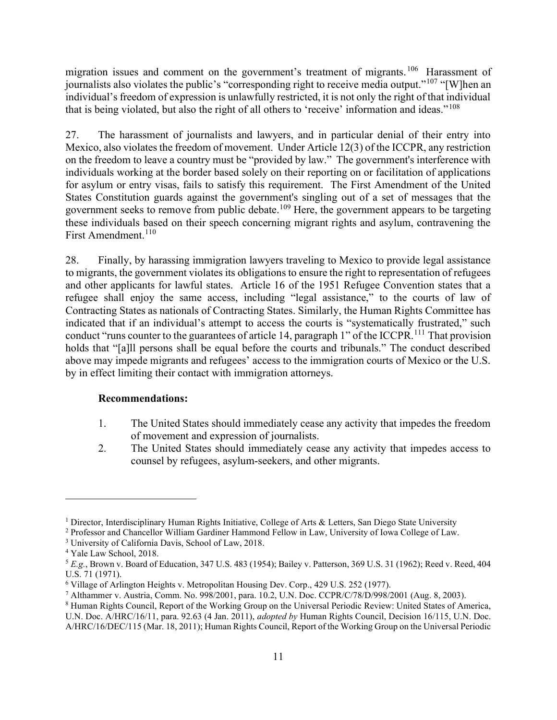migration issues and comment on the government's treatment of migrants.<sup>106</sup> Harassment of journalists also violates the public's "corresponding right to receive media output."<sup>107</sup> "[W]hen an individual's freedom of expression is unlawfully restricted, it is not only the right of that individual that is being violated, but also the right of all others to 'receive' information and ideas."<sup>108</sup>

27. The harassment of journalists and lawyers, and in particular denial of their entry into Mexico, also violates the freedom of movement. Under Article 12(3) of the ICCPR, any restriction on the freedom to leave a country must be "provided by law." The government's interference with individuals working at the border based solely on their reporting on or facilitation of applications for asylum or entry visas, fails to satisfy this requirement. The First Amendment of the United States Constitution guards against the government's singling out of a set of messages that the government seeks to remove from public debate.<sup>109</sup> Here, the government appears to be targeting these individuals based on their speech concerning migrant rights and asylum, contravening the First Amendment.<sup>110</sup>

28. Finally, by harassing immigration lawyers traveling to Mexico to provide legal assistance to migrants, the government violates its obligations to ensure the right to representation of refugees and other applicants for lawful states. Article 16 of the 1951 Refugee Convention states that a refugee shall enjoy the same access, including "legal assistance," to the courts of law of Contracting States as nationals of Contracting States. Similarly, the Human Rights Committee has indicated that if an individual's attempt to access the courts is "systematically frustrated," such conduct "runs counter to the guarantees of article 14, paragraph 1" of the ICCPR.<sup>111</sup> That provision holds that "[a]ll persons shall be equal before the courts and tribunals." The conduct described above may impede migrants and refugees' access to the immigration courts of Mexico or the U.S. by in effect limiting their contact with immigration attorneys.

### Recommendations:

- 1. The United States should immediately cease any activity that impedes the freedom of movement and expression of journalists.
- 2. The United States should immediately cease any activity that impedes access to counsel by refugees, asylum-seekers, and other migrants.

<sup>&</sup>lt;sup>1</sup> Director, Interdisciplinary Human Rights Initiative, College of Arts & Letters, San Diego State University

<sup>2</sup> Professor and Chancellor William Gardiner Hammond Fellow in Law, University of Iowa College of Law.

<sup>3</sup> University of California Davis, School of Law, 2018.

<sup>4</sup> Yale Law School, 2018.

<sup>5</sup> E.g., Brown v. Board of Education, 347 U.S. 483 (1954); Bailey v. Patterson, 369 U.S. 31 (1962); Reed v. Reed, 404 U.S. 71 (1971).

<sup>&</sup>lt;sup>6</sup> Village of Arlington Heights v. Metropolitan Housing Dev. Corp., 429 U.S. 252 (1977).

<sup>7</sup> Althammer v. Austria, Comm. No. 998/2001, para. 10.2, U.N. Doc. CCPR/C/78/D/998/2001 (Aug. 8, 2003).

<sup>&</sup>lt;sup>8</sup> Human Rights Council, Report of the Working Group on the Universal Periodic Review: United States of America, U.N. Doc. A/HRC/16/11, para. 92.63 (4 Jan. 2011), adopted by Human Rights Council, Decision 16/115, U.N. Doc. A/HRC/16/DEC/115 (Mar. 18, 2011); Human Rights Council, Report of the Working Group on the Universal Periodic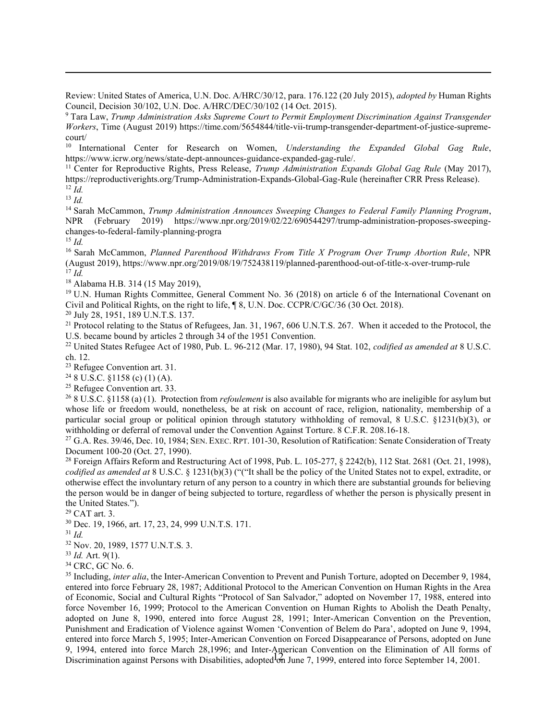Review: United States of America, U.N. Doc. A/HRC/30/12, para. 176.122 (20 July 2015), adopted by Human Rights Council, Decision 30/102, U.N. Doc. A/HRC/DEC/30/102 (14 Oct. 2015).

<sup>9</sup> Tara Law, Trump Administration Asks Supreme Court to Permit Employment Discrimination Against Transgender Workers, Time (August 2019) https://time.com/5654844/title-vii-trump-transgender-department-of-justice-supremecourt/

<sup>10</sup> International Center for Research on Women, Understanding the Expanded Global Gag Rule, https://www.icrw.org/news/state-dept-announces-guidance-expanded-gag-rule/.

<sup>11</sup> Center for Reproductive Rights, Press Release, Trump Administration Expands Global Gag Rule (May 2017), https://reproductiverights.org/Trump-Administration-Expands-Global-Gag-Rule (hereinafter CRR Press Release).  $12$  *Id.* 

 $13$  *Id.* 

<sup>14</sup> Sarah McCammon, Trump Administration Announces Sweeping Changes to Federal Family Planning Program, NPR (February 2019) https://www.npr.org/2019/02/22/690544297/trump-administration-proposes-sweepingchanges-to-federal-family-planning-progra

 $15$  *Id.* 

<sup>16</sup> Sarah McCammon, Planned Parenthood Withdraws From Title X Program Over Trump Abortion Rule, NPR (August 2019), https://www.npr.org/2019/08/19/752438119/planned-parenthood-out-of-title-x-over-trump-rule  $\hat{q}$ <sup>17</sup> Id.

<sup>18</sup> Alabama H.B. 314 (15 May 2019),

<sup>19</sup> U.N. Human Rights Committee, General Comment No. 36 (2018) on article 6 of the International Covenant on Civil and Political Rights, on the right to life, ¶ 8, U.N. Doc. CCPR/C/GC/36 (30 Oct. 2018).

<sup>20</sup> July 28, 1951, 189 U.N.T.S. 137.

<sup>21</sup> Protocol relating to the Status of Refugees, Jan. 31, 1967, 606 U.N.T.S. 267. When it acceded to the Protocol, the U.S. became bound by articles 2 through 34 of the 1951 Convention.

<sup>22</sup> United States Refugee Act of 1980, Pub. L. 96-212 (Mar. 17, 1980), 94 Stat. 102, codified as amended at 8 U.S.C. ch. 12.

<sup>23</sup> Refugee Convention art. 31.

 $248$  U.S.C. §1158 (c) (1) (A).

<sup>25</sup> Refugee Convention art. 33.

<sup>26</sup> 8 U.S.C. §1158 (a) (1). Protection from *refoulement* is also available for migrants who are ineligible for asylum but whose life or freedom would, nonetheless, be at risk on account of race, religion, nationality, membership of a particular social group or political opinion through statutory withholding of removal, 8 U.S.C. §1231(b)(3), or withholding or deferral of removal under the Convention Against Torture. 8 C.F.R. 208.16-18.

<sup>27</sup> G.A. Res. 39/46, Dec. 10, 1984; SEN. EXEC. RPT. 101-30, Resolution of Ratification: Senate Consideration of Treaty Document 100-20 (Oct. 27, 1990).

<sup>28</sup> Foreign Affairs Reform and Restructuring Act of 1998, Pub. L. 105-277,  $\S$  2242(b), 112 Stat. 2681 (Oct. 21, 1998), codified as amended at  $8 \text{ U.S.C. } \frac{8}{231(b)(3)}$  ("("It shall be the policy of the United States not to expel, extradite, or otherwise effect the involuntary return of any person to a country in which there are substantial grounds for believing the person would be in danger of being subjected to torture, regardless of whether the person is physically present in the United States.").

<sup>29</sup> CAT art. 3.

<sup>30</sup> Dec. 19, 1966, art. 17, 23, 24, 999 U.N.T.S. 171.

 $31$  *Id.* 

<sup>32</sup> Nov. 20, 1989, 1577 U.N.T.S. 3.

 $33$  *Id.* Art. 9(1).

<sup>34</sup> CRC, GC No. 6.

12 Discrimination against Persons with Disabilities, adopted on June 7, 1999, entered into force September 14, 2001. <sup>35</sup> Including, *inter alia*, the Inter-American Convention to Prevent and Punish Torture, adopted on December 9, 1984, entered into force February 28, 1987; Additional Protocol to the American Convention on Human Rights in the Area of Economic, Social and Cultural Rights "Protocol of San Salvador," adopted on November 17, 1988, entered into force November 16, 1999; Protocol to the American Convention on Human Rights to Abolish the Death Penalty, adopted on June 8, 1990, entered into force August 28, 1991; Inter-American Convention on the Prevention, Punishment and Eradication of Violence against Women 'Convention of Belem do Para', adopted on June 9, 1994, entered into force March 5, 1995; Inter-American Convention on Forced Disappearance of Persons, adopted on June 9, 1994, entered into force March 28,1996; and Inter-American Convention on the Elimination of All forms of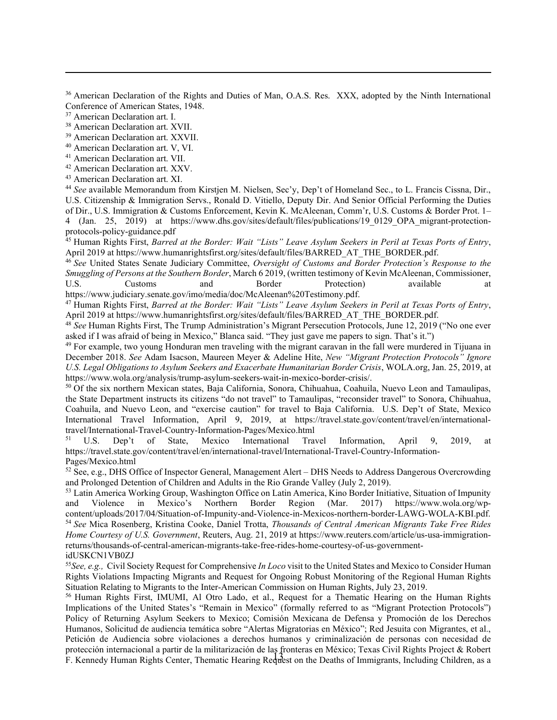<sup>36</sup> American Declaration of the Rights and Duties of Man, O.A.S. Res. XXX, adopted by the Ninth International Conference of American States, 1948.

<sup>39</sup> American Declaration art. XXVII.

<sup>40</sup> American Declaration art. V, VI.

- <sup>41</sup> American Declaration art. VII.
- <sup>42</sup> American Declaration art. XXV.
- <sup>43</sup> American Declaration art. XI.

<sup>44</sup> See available Memorandum from Kirstjen M. Nielsen, Sec'y, Dep't of Homeland Sec., to L. Francis Cissna, Dir., U.S. Citizenship & Immigration Servs., Ronald D. Vitiello, Deputy Dir. And Senior Official Performing the Duties of Dir., U.S. Immigration & Customs Enforcement, Kevin K. McAleenan, Comm'r, U.S. Customs & Border Prot. 1– 4 (Jan. 25, 2019) at https://www.dhs.gov/sites/default/files/publications/19\_0129\_OPA\_migrant-protectionprotocols-policy-guidance.pdf

<sup>45</sup> Human Rights First, Barred at the Border: Wait "Lists" Leave Asylum Seekers in Peril at Texas Ports of Entry, April 2019 at https://www.humanrightsfirst.org/sites/default/files/BARRED\_AT\_THE\_BORDER.pdf.

<sup>46</sup> See United States Senate Judiciary Committee, Oversight of Customs and Border Protection's Response to the Smuggling of Persons at the Southern Border, March 6 2019, (written testimony of Kevin McAleenan, Commissioner, U.S. Customs and Border Protection) available at https://www.judiciary.senate.gov/imo/media/doc/McAleenan%20Testimony.pdf.

<sup>47</sup> Human Rights First, Barred at the Border: Wait "Lists" Leave Asylum Seekers in Peril at Texas Ports of Entry, April 2019 at https://www.humanrightsfirst.org/sites/default/files/BARRED\_AT\_THE\_BORDER.pdf.

<sup>48</sup> See Human Rights First, The Trump Administration's Migrant Persecution Protocols, June 12, 2019 ("No one ever asked if I was afraid of being in Mexico," Blanca said. "They just gave me papers to sign. That's it.")

<sup>49</sup> For example, two young Honduran men traveling with the migrant caravan in the fall were murdered in Tijuana in December 2018. See Adam Isacson, Maureen Meyer & Adeline Hite, New "Migrant Protection Protocols" Ignore U.S. Legal Obligations to Asylum Seekers and Exacerbate Humanitarian Border Crisis, WOLA.org, Jan. 25, 2019, at https://www.wola.org/analysis/trump-asylum-seekers-wait-in-mexico-border-crisis/.

<sup>50</sup> Of the six northern Mexican states, Baja California, Sonora, Chihuahua, Coahuila, Nuevo Leon and Tamaulipas, the State Department instructs its citizens "do not travel" to Tamaulipas, "reconsider travel" to Sonora, Chihuahua, Coahuila, and Nuevo Leon, and "exercise caution" for travel to Baja California. U.S. Dep't of State, Mexico International Travel Information, April 9, 2019, at https://travel.state.gov/content/travel/en/internationaltravel/International-Travel-Country-Information-Pages/Mexico.html

<sup>51</sup> U.S. Dep't of State, Mexico International Travel Information, April 9, 2019, at https://travel.state.gov/content/travel/en/international-travel/International-Travel-Country-Information-Pages/Mexico.html

 $52$  See, e.g., DHS Office of Inspector General, Management Alert – DHS Needs to Address Dangerous Overcrowding and Prolonged Detention of Children and Adults in the Rio Grande Valley (July 2, 2019).

53 Latin America Working Group, Washington Office on Latin America, Kino Border Initiative, Situation of Impunity and Violence in Mexico's Northern Border Region (Mar. 2017) https://www.wola.org/wpcontent/uploads/2017/04/Situation-of-Impunity-and-Violence-in-Mexicos-northern-border-LAWG-WOLA-KBI.pdf. 54 See Mica Rosenberg, Kristina Cooke, Daniel Trotta, Thousands of Central American Migrants Take Free Rides Home Courtesy of U.S. Government, Reuters, Aug. 21, 2019 at https://www.reuters.com/article/us-usa-immigrationreturns/thousands-of-central-american-migrants-take-free-rides-home-courtesy-of-us-governmentidUSKCN1VB0ZJ

<sup>55</sup>See, e.g., Civil Society Request for Comprehensive *In Loco* visit to the United States and Mexico to Consider Human Rights Violations Impacting Migrants and Request for Ongoing Robust Monitoring of the Regional Human Rights Situation Relating to Migrants to the Inter-American Commission on Human Rights, July 23, 2019.

13 F. Kennedy Human Rights Center, Thematic Hearing Request on the Deaths of Immigrants, Including Children, as a <sup>56</sup> Human Rights First, IMUMI, Al Otro Lado, et al., Request for a Thematic Hearing on the Human Rights Implications of the United States's "Remain in Mexico" (formally referred to as "Migrant Protection Protocols") Policy of Returning Asylum Seekers to Mexico; Comisión Mexicana de Defensa y Promoción de los Derechos Humanos, Solicitud de audiencia temática sobre "Alertas Migratorias en México"; Red Jesuita con Migrantes, et al., Petición de Audiencia sobre violaciones a derechos humanos y criminalización de personas con necesidad de protección internacional a partir de la militarización de las fronteras en México; Texas Civil Rights Project & Robert

<sup>&</sup>lt;sup>37</sup> American Declaration art. I.

<sup>38</sup> American Declaration art. XVII.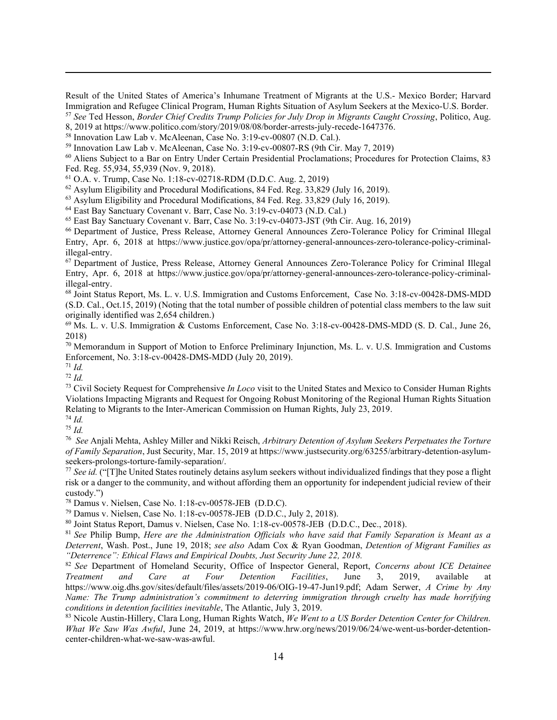Result of the United States of America's Inhumane Treatment of Migrants at the U.S.- Mexico Border; Harvard Immigration and Refugee Clinical Program, Human Rights Situation of Asylum Seekers at the Mexico-U.S. Border. <sup>57</sup> See Ted Hesson, Border Chief Credits Trump Policies for July Drop in Migrants Caught Crossing, Politico, Aug.

- 8, 2019 at https://www.politico.com/story/2019/08/08/border-arrests-july-recede-1647376.
- <sup>58</sup> Innovation Law Lab v. McAleenan, Case No. 3:19-cv-00807 (N.D. Cal.).
- <sup>59</sup> Innovation Law Lab v. McAleenan, Case No. 3:19-cv-00807-RS (9th Cir. May 7, 2019)
- <sup>60</sup> Aliens Subject to a Bar on Entry Under Certain Presidential Proclamations; Procedures for Protection Claims, 83 Fed. Reg. 55,934, 55,939 (Nov. 9, 2018).
- <sup>61</sup> O.A. v. Trump, Case No. 1:18-cv-02718-RDM (D.D.C. Aug. 2, 2019)
- $62$  Asylum Eligibility and Procedural Modifications, 84 Fed. Reg. 33,829 (July 16, 2019).

<sup>63</sup> Asylum Eligibility and Procedural Modifications, 84 Fed. Reg. 33,829 (July 16, 2019).

- <sup>64</sup> East Bay Sanctuary Covenant v. Barr, Case No. 3:19-cv-04073 (N.D. Cal.)
- <sup>65</sup> East Bay Sanctuary Covenant v. Barr, Case No. 3:19-cv-04073-JST (9th Cir. Aug. 16, 2019)

<sup>66</sup> Department of Justice, Press Release, Attorney General Announces Zero-Tolerance Policy for Criminal Illegal Entry, Apr. 6, 2018 at https://www.justice.gov/opa/pr/attorney-general-announces-zero-tolerance-policy-criminalillegal-entry.

<sup>67</sup> Department of Justice, Press Release, Attorney General Announces Zero-Tolerance Policy for Criminal Illegal Entry, Apr. 6, 2018 at https://www.justice.gov/opa/pr/attorney-general-announces-zero-tolerance-policy-criminalillegal-entry.

<sup>68</sup> Joint Status Report, Ms. L. v. U.S. Immigration and Customs Enforcement, Case No. 3:18-cv-00428-DMS-MDD (S.D. Cal., Oct.15, 2019) (Noting that the total number of possible children of potential class members to the law suit originally identified was 2,654 children.)

<sup>69</sup> Ms. L. v. U.S. Immigration & Customs Enforcement, Case No. 3:18-cv-00428-DMS-MDD (S. D. Cal., June 26, 2018)

<sup>70</sup> Memorandum in Support of Motion to Enforce Preliminary Injunction, Ms. L. v. U.S. Immigration and Customs Enforcement, No. 3:18-cv-00428-DMS-MDD (July 20, 2019).

 $^{71}$  *Id.* 

 $72$  Id.

 $73$  Civil Society Request for Comprehensive In Loco visit to the United States and Mexico to Consider Human Rights Violations Impacting Migrants and Request for Ongoing Robust Monitoring of the Regional Human Rights Situation Relating to Migrants to the Inter-American Commission on Human Rights, July 23, 2019.

<sup>74</sup> Id.

 $^{75}$  *Id.* 

<sup>76</sup> See Anjali Mehta, Ashley Miller and Nikki Reisch, Arbitrary Detention of Asylum Seekers Perpetuates the Torture of Family Separation, Just Security, Mar. 15, 2019 at https://www.justsecurity.org/63255/arbitrary-detention-asylumseekers-prolongs-torture-family-separation/.

 $77$  See id. ("[T]he United States routinely detains asylum seekers without individualized findings that they pose a flight risk or a danger to the community, and without affording them an opportunity for independent judicial review of their custody.")

<sup>78</sup> Damus v. Nielsen, Case No. 1:18-cv-00578-JEB (D.D.C).

<sup>79</sup> Damus v. Nielsen, Case No. 1:18-cv-00578-JEB (D.D.C., July 2, 2018).

<sup>80</sup> Joint Status Report, Damus v. Nielsen, Case No. 1:18-cv-00578-JEB (D.D.C., Dec., 2018).

 $81$  See Philip Bump, Here are the Administration Officials who have said that Family Separation is Meant as a Deterrent, Wash. Post., June 19, 2018; see also Adam Cox & Ryan Goodman, Detention of Migrant Families as "Deterrence": Ethical Flaws and Empirical Doubts, Just Security June 22, 2018.

<sup>82</sup> See Department of Homeland Security, Office of Inspector General, Report, Concerns about ICE Detainee Treatment and Care at Four Detention Facilities, June 3, 2019, available at https://www.oig.dhs.gov/sites/default/files/assets/2019-06/OIG-19-47-Jun19.pdf; Adam Serwer, A Crime by Any Name: The Trump administration's commitment to deterring immigration through cruelty has made horrifying conditions in detention facilities inevitable, The Atlantic, July 3, 2019.

83 Nicole Austin-Hillery, Clara Long, Human Rights Watch, We Went to a US Border Detention Center for Children. What We Saw Was Awful, June 24, 2019, at https://www.hrw.org/news/2019/06/24/we-went-us-border-detentioncenter-children-what-we-saw-was-awful.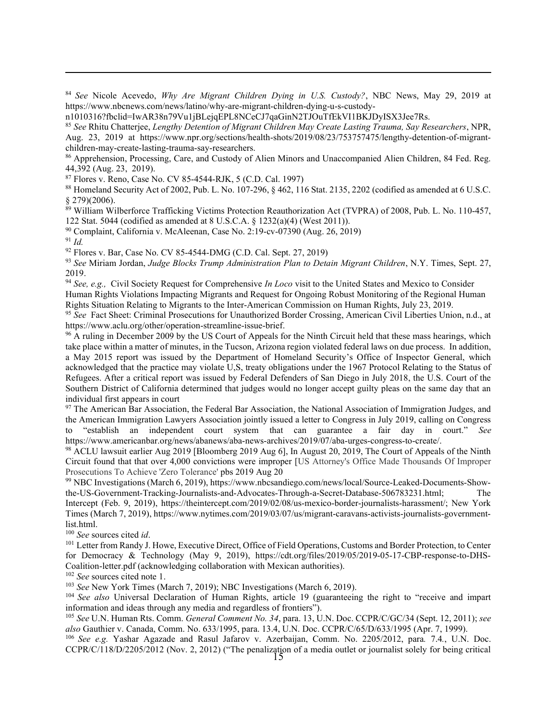84 See Nicole Acevedo, Why Are Migrant Children Dying in U.S. Custody?, NBC News, May 29, 2019 at https://www.nbcnews.com/news/latino/why-are-migrant-children-dying-u-s-custody-

n1010316?fbclid=IwAR38n79Vu1jBLejqEPL8NCeCJ7qaGinN2TJOuTfEkVI1BKJDyISX3Jee7Rs.

<sup>85</sup> See Rhitu Chatterjee, Lengthy Detention of Migrant Children May Create Lasting Trauma, Say Researchers, NPR, Aug. 23, 2019 at https://www.npr.org/sections/health-shots/2019/08/23/753757475/lengthy-detention-of-migrantchildren-may-create-lasting-trauma-say-researchers.

<sup>86</sup> Apprehension, Processing, Care, and Custody of Alien Minors and Unaccompanied Alien Children, 84 Fed. Reg. 44,392 (Aug. 23, 2019).

<sup>87</sup> Flores v. Reno, Case No. CV 85-4544-RJK, 5 (C.D. Cal. 1997)

<sup>88</sup> Homeland Security Act of 2002, Pub. L. No. 107-296, § 462, 116 Stat. 2135, 2202 (codified as amended at 6 U.S.C. § 279)(2006).

<sup>89</sup> William Wilberforce Trafficking Victims Protection Reauthorization Act (TVPRA) of 2008, Pub. L. No. 110-457, 122 Stat. 5044 (codified as amended at 8 U.S.C.A. § 1232(a)(4) (West 2011)).

<sup>90</sup> Complaint, California v. McAleenan, Case No. 2:19-cv-07390 (Aug. 26, 2019)

 $91$  Id.

<sup>92</sup> Flores v. Bar, Case No. CV 85-4544-DMG (C.D. Cal. Sept. 27, 2019)

<sup>93</sup> See Miriam Jordan, Judge Blocks Trump Administration Plan to Detain Migrant Children, N.Y. Times, Sept. 27, 2019.

<sup>94</sup> See, e.g., Civil Society Request for Comprehensive In Loco visit to the United States and Mexico to Consider Human Rights Violations Impacting Migrants and Request for Ongoing Robust Monitoring of the Regional Human Rights Situation Relating to Migrants to the Inter-American Commission on Human Rights, July 23, 2019.

<sup>95</sup> See Fact Sheet: Criminal Prosecutions for Unauthorized Border Crossing, American Civil Liberties Union, n.d., at https://www.aclu.org/other/operation-streamline-issue-brief.

<sup>96</sup> A ruling in December 2009 by the US Court of Appeals for the Ninth Circuit held that these mass hearings, which take place within a matter of minutes, in the Tucson, Arizona region violated federal laws on due process. In addition, a May 2015 report was issued by the Department of Homeland Security's Office of Inspector General, which acknowledged that the practice may violate U,S, treaty obligations under the 1967 Protocol Relating to the Status of Refugees. After a critical report was issued by Federal Defenders of San Diego in July 2018, the U.S. Court of the Southern District of California determined that judges would no longer accept guilty pleas on the same day that an individual first appears in court

<sup>97</sup> The American Bar Association, the Federal Bar Association, the National Association of Immigration Judges, and the American Immigration Lawyers Association jointly issued a letter to Congress in July 2019, calling on Congress to "establish an independent court system that can guarantee a fair day in court." See https://www.americanbar.org/news/abanews/aba-news-archives/2019/07/aba-urges-congress-to-create/.

<sup>98</sup> ACLU lawsuit earlier Aug 2019 [Bloomberg 2019 Aug 6], In August 20, 2019, The Court of Appeals of the Ninth Circuit found that that over 4,000 convictions were improper [US Attorney's Office Made Thousands Of Improper Prosecutions To Achieve 'Zero Tolerance' pbs 2019 Aug 20

99 NBC Investigations (March 6, 2019), https://www.nbcsandiego.com/news/local/Source-Leaked-Documents-Showthe-US-Government-Tracking-Journalists-and-Advocates-Through-a-Secret-Database-506783231.html; Intercept (Feb. 9, 2019), https://theintercept.com/2019/02/08/us-mexico-border-journalists-harassment/; New York Times (March 7, 2019), https://www.nytimes.com/2019/03/07/us/migrant-caravans-activists-journalists-governmentlist.html.

<sup>100</sup> See sources cited id.

<sup>101</sup> Letter from Randy J. Howe, Executive Direct, Office of Field Operations, Customs and Border Protection, to Center for Democracy & Technology (May 9, 2019), https://cdt.org/files/2019/05/2019-05-17-CBP-response-to-DHS-Coalition-letter.pdf (acknowledging collaboration with Mexican authorities).

<sup>102</sup> See sources cited note 1.

<sup>103</sup> See New York Times (March 7, 2019); NBC Investigations (March 6, 2019).

<sup>104</sup> See also Universal Declaration of Human Rights, article 19 (guaranteeing the right to "receive and impart information and ideas through any media and regardless of frontiers").

105 See U.N. Human Rts. Comm. General Comment No. 34, para. 13, U.N. Doc. CCPR/C/GC/34 (Sept. 12, 2011); see also Gauthier v. Canada, Comm. No. 633/1995, para. 13.4, U.N. Doc. CCPR/C/65/D/633/1995 (Apr. 7, 1999).

15 CCPR/C/118/D/2205/2012 (Nov. 2, 2012) ("The penalization of a media outlet or journalist solely for being critical <sup>106</sup> See e.g. Yashar Agazade and Rasul Jafarov v. Azerbaijan, Comm. No. 2205/2012, para. 7.4., U.N. Doc.